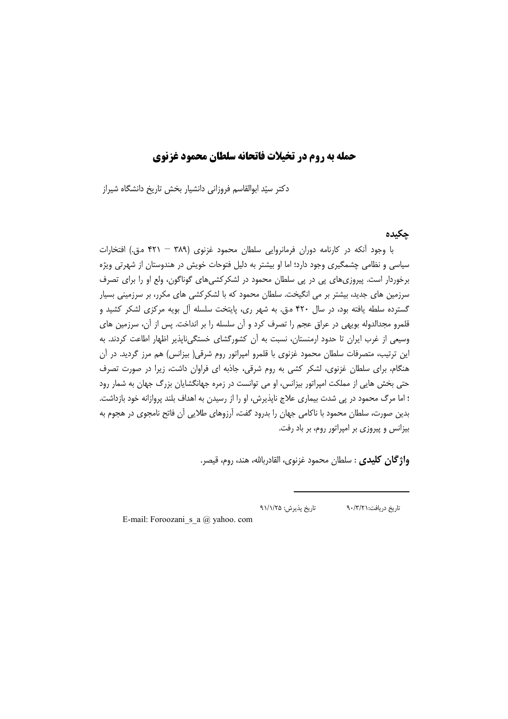# حمله به روم در تخیلات فاتحانه سلطان محمود غزنوی

دکتر سیّد ابوالقاسم فروزانی دانشیار بخش تاریخ دانشگاه شیراز

## حكىدە

با وجود آنكه در كارنامه دوران فرمانروايي سلطان محمود غزنوي (٣٨٩ - ۴٢١ متى.) افتخارات سیاسی و نظامی چشمگیری وجود دارد؛ اما او بیشتر به دلیل فتوحات خویش در هندوستان از شهرتی ویژه برخوردار است. پیروزیهای پی در پی سلطان محمود در لشکرکشیهای گوناگون، ولع او را برای تصرف سرزمین های جدید، بیشتر بر می انگیخت. سلطان محمود که با لشکرکشی های مکرر، بر سرزمینی بسیار گسترده سلطه یافته بود، در سال ۴۲۰ ه.ق. به شهر ري، پايتخت سلسله آل بويه مركزى لشكر كشيد و قلمرو مجدالدوله بويهي در عراق عجم را تصرف كرد و أن سلسله را بر انداخت. پس از آن، سرزمين هاي وسیعی از غرب ایران تا حدود ارمنستان، نسبت به آن کشورگشای خستگیiبایذیر اظهار اطاعت کردند. به این ترتیب، متصرفات سلطان محمود غزنوی با قلمرو امپراتور روم شرقی( بیزانس) هم مرز گردید. در آن هنگام، برای سلطان غزنوی، لشکر کشی به روم شرقی، جاذبه ای فراوان داشت، زیرا در صورت تصرف حتی بخش هایی از مملکت امپراتور بیزانس، او می توانست در زمره جهانگشایان بزرگ جهان به شمار رود ؛ اما مرگ محمود در پی شدت بیماری علاج ناپذیرش، او را از رسیدن به اهداف بلند پروازانه خود بازداشت. بدین صورت، سلطان محمود با ناکامی جهان را بدرود گفت، آرزوهای طلایی آن فاتح نامجوی در هجوم به بیزانس و پیروزی بر امیراتور روم، بر باد رفت.

**واژگان کلیدی** : سلطان محمود غزنوی، القادربالله، هند، روم، قیصر.

تاريخ پذيرش: ٩١/١/٢٥ تاریخ دریافت: ۹۰/۳/۲۱

E-mail: Foroozani s a  $(a)$  yahoo. com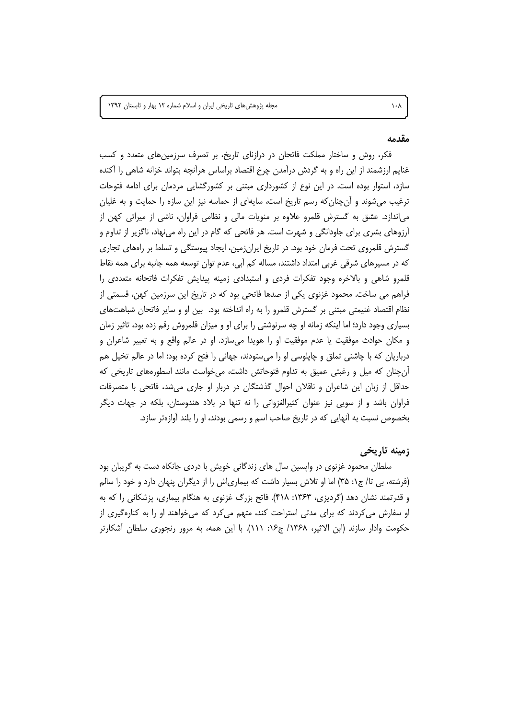مجله پژوهش های تاریخی ایران و اسلام شماره ١٢ بهار و تابستان ١٣٩٢

#### مقدمه

 $\lambda \cdot \lambda$ 

فکر، روش و ساختار مملکت فاتحان در درازنای تاریخ، بر تصرف سرزمینهای متعدد و کسب غنایم ارزشمند از این راه و به گردش درآمدن چرخ اقتصاد براساس هرآنچه بتواند خزانه شاهی را اکنده سازد، استوار بوده است. در این نوع از کشورداری مبتنی بر کشورگشایی مردمان برای ادامه فتوحات ترغیب می شوند و آن چنان که رسم تاریخ است، سایهای از حماسه نیز این سازه را حمایت و به غلیان می|ندازد. عشق به گسترش قلمرو علاوه بر منویات مالی و نظامی فراوان، ناشی از میراثی کهن از آرزوهای بشری برای جاودانگی و شهرت است. هر فاتحی که گام در این راه می نهاد، ناگزیر از تداوم و گسترش قلمروی تحت فرمان خود بود. در تاریخ ایران;مین، ایجاد پیوستگی و تسلط بر راههای تجاری که در مسیرهای شرقی غربی امتداد داشتند، مساله کم آبی، عدم توان توسعه همه جانبه برای همه نقاط قلمرو شاهی و بالاخره وجود تفکرات فردی و استبدادی زمینه پیدایش تفکرات فاتحانه متعددی را فراهم می ساخت. محمود غزنوی یکی از صدها فاتحی بود که در تاریخ این سرزمین کهن، قسمتی از نظام اقتصاد غنیمتی مبتنی بر گسترش قلمرو را به راه انداخته بود. بین او و سایر فاتحان شباهتهای بسیاری وجود دارد؛ اما اینکه زمانه او چه سرنوشتی را برای او و میزان قلمروش رقم زده بود، تاثیر زمان و مکان حوادث موفقیت یا عدم موفقیت او را هویدا می سازد. او در عالم واقع و به تعبیر شاعران و درباریان که با چاشنی تملق و چاپلوسی او را می ستودند، جهانی را فتح کرده بود؛ اما در عالم تخیل هم آن چنان که میل و رغبتی عمیق به تداوم فتوحاتش داشت، می خواست مانند اسطورههای تاریخی که حداقل از زبان این شاعران و ناقلان احوال گذشتگان در دربار او جاری می شد، فاتحی با متصرفات فراوان باشد و از سویی نیز عنوان کثیرالغزواتی را نه تنها در بلاد هندوستان، بلکه در جهات دیگر بخصوص نسبت به آنهایی که در تاریخ صاحب اسم و رسمی بودند، او را بلند آوازهتر سازد.

#### زمينه تاريخي

سلطان محمود غزنوی در واپسین سال های زندگانی خویش با دردی جانکاه دست به گریبان بود (فرشته، بی تا/ ج۱: ۳۵) اما او تلاش بسیار داشت که بیماری|ش را از دیگران پنهان دارد و خود را سالم و قدرتمند نشان دهد (گردیزی، ۱۳۶۳: ۴۱۸). فاتح بزرگ غزنوی به هنگام بیماری، پزشکانی را که به او سفارش می کردند که برای مدتی استراحت کند، متهم می کرد که می خواهند او را به کنارهگیری از حکومت وادار سازند (ابن الاثیر، ۱۳۶۸/ ج۱۶: ۱۱۱). با این همه، به مرور رنجوری سلطان آشکارتر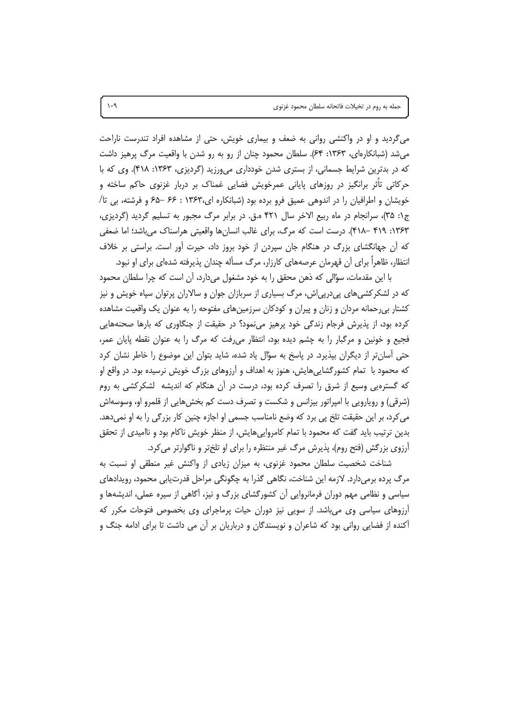میگردید و او در واکنشی روانی به ضعف و بیماری خویش، حتی از مشاهده افراد تندرست ناراحت می شد (شبانکارهای، ۱۳۶۳: ۶۴). سلطان محمود چنان از رو به رو شدن با واقعیت مرگ پرهیز داشت که در بدترین شرایط جسمانی، از بستری شدن خودداری میورزید (گردیزی، ۱۳۶۳: ۴۱۸). وی که با حرکاتی تأثر برانگیز در روزهای پایانی عمرخویش فضایی غمناک بر دربار غزنوی حاکم ساخته و خویشان و اطرافیان را در اندوهی عمیق فرو برده بود (شبانکاره ای،۱۳۶۳ : ۶۶ –۶۵ و فرشته، بی تا/ ج۱: ۳۵)، سرانجام در ماه ربیع الاخر سال ۴۲۱ ه.ق. در برابر مرگ مجبور به تسلیم گردید (گردیزی، ۱۳۶۳: ۴۱۹ –۴۱۸). درست است که مرگ، برای غالب انسانها واقعیتی هراسناک می باشد؛ اما ضعفی که اَن جهانگشای بزرگ در هنگام جان سیردن از خود بروز داد، حیرت اَور است. براستی بر خلاف انتظار، ظاهراً برای آن قهرمان عرصههای کارزار، مرگ مسأله چندان پذیرفته شدهای برای او نبود.

با این مقدمات، سؤالی که ذهن محقق را به خود مشغول میدارد، آن است که چرا سلطان محمود که در لشکرکشیهای پیدرپی|ش، مرگ بسیاری از سربازان جوان و سالاران پرتوان سپاه خویش و نیز کشتار بی رحمانه مردان و زنان و پیران و کودکان سرزمینهای مفتوحه را به عنوان یک واقعیت مشاهده کرده بود، از پذیرش فرجام زندگی خود پرهیز می نمود؟ در حقیقت از جنگاوری که بارها صحنههایی فجیع و خونین و مرگبار را به چشم دیده بود، انتظار میرفت که مرگ را به عنوان نقطه پایان عمر، حتی آسان تر از دیگران بپذیرد. در پاسخ به سؤال یاد شده، شاید بتوان این موضوع را خاطر نشان کرد که محمود با ِ تمام کشورگشایی هایش، هنوز به اهداف و آرزوهای بزرگ خویش نرسیده بود. در واقع او که گسترهیی وسیع از شرق را تصرف کرده بود، درست در آن هنگام که اندیشه گشکرکشی به روم (شرقی) و رویارویی با امپراتور بیزانس و شکست و تصرف دست کم بخشهایی از قلمرو او، وسوسهاش می کرد، بر این حقیقت تلخ یی برد که وضع نامناسب جسمی او اجازه چنین کار بزرگی را به او نمی دهد. بدین ترتیب باید گفت که محمود با تمام کامرواییهایش، از منظر خویش ناکام بود و ناامیدی از تحقق آرزوی بزرگش (فتح روم)، پذیرش مرگ غیر منتظره را برای او تلختر و ناگوارتر می کرد.

شناخت شخصیت سلطان محمود غزنوی، به میزان زیادی از واکنش غیر منطقی او نسبت به مرگ پرده برمیدارد. لازمه این شناخت، نگاهی گذرا به چگونگی مراحل قدرتیابی محمود، رویدادهای سیاسی و نظامی مهم دوران فرمانروایی آن کشورگشای بزرگ و نیز، آگاهی از سیره عملی، اندیشهها و آرزوهای سیاسی وی می باشد. از سویی نیز دوران حیات پرماجرای وی بخصوص فتوحات مکرر که آکنده از فضایی روانی بود که شاعران و نویسندگان و درباریان بر آن می داشت تا برای ادامه جنگ و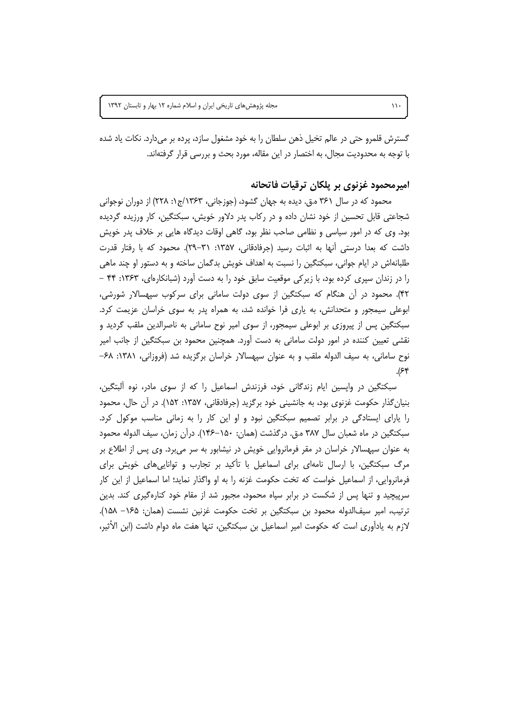گسترش قلمرو حتی در عالم تخیل ذهن سلطان را به خود مشغول سازد، پرده بر میدارد. نکات یاد شده با توجه به محدودیت مجال، به اختصار در این مقاله، مورد بحث و بررسی قرار گرفتهاند.

### امیرمحمود غزنوی بر پلکان ترقیات فاتحانه

محمود که در سال ۳۶۱ ه.ق. دیده به جهان گشود، (جوزجانی، ۱۳۶۳/ج۱: ۲۲۸) از دوران نوجوانی شجاعتی قابل تحسین از خود نشان داده و در رکاب پدر دلاور خویش، سبکتگین، کار ورزیده گردیده بود. وی که در امور سیاسی و نظامی صاحب نظر بود، گاهی اوقات دیدگاه هایی بر خلاف پدر خویش داشت که بعدا درستی آنها به اثبات رسید (جرفادقانی، ۱۳۵۷: ۳۱–۲۹). محمود که با رفتار قدرت طلبانهاش در ایام جوانی، سبکتگین را نسبت به اهداف خویش بدگمان ساخته و به دستور او چند ماهی را در زندان سپری کرده بود، با زیرکی موقعیت سابق خود را به دست آورد (شبانکارهای، ۱۳۶۳: ۴۴ – ۴۲). محمود در آن هنگام که سبکتگین از سوی دولت سامانی برای سرکوب سیهسالار شورشی، ابوعلی سیمجور و متحدانش، به یاری فرا خوانده شد، به همراه پدر به سوی خراسان عزیمت کرد. سبکتگین پس از پیروزی بر ابوعلی سیمجور، از سوی امیر نوح سامانی به ناصرالدین ملقب گردید و نقشی تعیین کننده در امور دولت سامانی به دست آورد. همچنین محمود بن سبکتگین از جانب امیر نوح سامانی، به سیف الدوله ملقب و به عنوان سیهسالار خراسان برگزیده شد (فروزانی، ۱۳۸۱: ۶۸–  $\mathcal{S}$ 

سبکتگین در واپسین ایام زندگانی خود، فرزندش اسماعیل را که از سوی مادر، نوه آلبتگین، بنیان گذار حکومت غزنوی بود، به جانشینی خود برگزید (جرفادقانی، ۱۳۵۷: ۱۵۲). در آن حال، محمود را پارای ایستادگی در برابر تصمیم سبکتگین نبود و او این کار را به زمانی مناسب موکول کرد. سبكتگين در ماه شعبان سال ۳۸۷ ه.ق. درگذشت (همان: ۱۵۰–۱۴۶). درآن زمان، سيف الدوله محمود به عنوان سپهسالار خراسان در مقر فرمانروایی خویش در نیشابور به سر می برد. وی پس از اطلاع بر مرگ سبکتگین، با ارسال نامهای برای اسماعیل با تأکید بر تجارب و توانایی های خویش برای فرمانروایی، از اسماعیل خواست که تخت حکومت غزنه را به او واگذار نماید؛ اما اسماعیل از این کار سرپیچید و تنها پس از شکست در برابر سپاه محمود، مجبور شد از مقام خود کنارهگیری کند. بدین ترتيب، امير سيفالدوله محمود بن سبكتگين بر تخت حكومت غزنين نشست (همان: ١۶۵– ١۵٨). لازم به يادآوري است كه حكومت امير اسماعيل بن سبكتگين، تنها هفت ماه دوام داشت (ابن الأثير،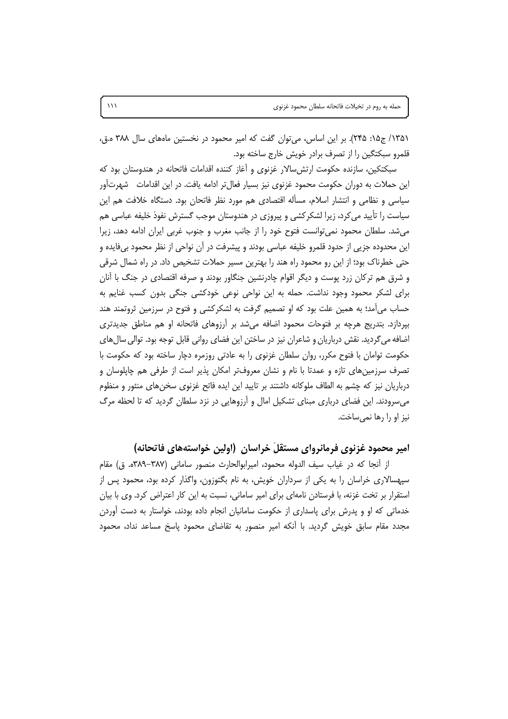١٣٥١/ ج١٥: ٢٤٥). بر اين اساس، مي توان كفت كه امير محمود در نخستين ماههاى سال ٣٨٨ ه.ق، قلمرو سبكتگين را از تصرف برادر خويش خارج ساخته بود.

سبکتکین، سازنده حکومت ارتش سالار غزنوی و آغاز کننده اقدامات فاتحانه در هندوستان بود که این حملات به دوران حکومت محمود غزنوی نیز بسیار فعال¤ر ادامه یافت. در این اقدامات شهرتآور سیاسی و نظامی و انتشار اسلام، مسأله اقتصادی هم مورد نظر فاتحان بود. دستگاه خلافت هم این سیاست را تأیید می کرد، زیرا لشکر کشی و پیروزی در هندوستان موجب گسترش نفوذ خلیفه عباسی هم می شد. سلطان محمود نمی توانست فتوح خود را از جانب مغرب و جنوب غربی ایران ادامه دهد، زیرا این محدوده جزیی از حدود قلمرو خلیفه عباسی بودند و پیشرفت در آن نواحی از نظر محمود بیفایده و حتی خطرناک بود؛ از این رو محمود راه هند را بهترین مسیر حملات تشخیص داد. در راه شمال شرقی و شرق هم ترکان زرد پوست و دیگر اقوام چادرنشین جنگاور بودند و صرفه اقتصادی در جنگ با آنان برای لشکر محمود وجود نداشت. حمله به این نواحی نوعی خودکشی جنگی بدون کسب غنایم به حساب می آمد؛ به همین علت بود که او تصمیم گرفت به لشکرکشی و فتوح در سرزمین ثروتمند هند بپردازد. بتدریج هرچه بر فتوحات محمود اضافه میشد بر آرزوهای فاتحانه او هم مناطق جدیدتری اضافه می گردید. نقش درباریان و شاعران نیز در ساختن این فضای روانی قابل توجه بود. توالی سال های حکومت توامان با فتوح مکرر، روان سلطان غزنوی را به عادتی روزمره دچار ساخته بود که حکومت با تصرف سرزمینهای تازه و عمدتا با نام و نشان معروفتر امکان پذیر است از طرفی هم چاپلوسان و درباریان نیز که چشم به الطاف ملوکانه داشتند بر تایید این ایده فاتح غزنوی سخنهای منثور و منظوم میسرودند. این فضای درباری مبنای تشکیل امال و آرزوهایی در نزد سلطان گردید که تا لحظه مرگ نیز او را رها نمی ساخت.

#### امیر محمود غزنوی فرمانروای مستقلّ خراسان (اولین خواستههای فاتحانه)

از آنجا که در غیاب سیف الدوله محمود، امیرابوالحارث منصور سامانی (۳۸۷–۳۸۹ه. ق) مقام سپهسالاری خراسان را به یکی از سرداران خویش، به نام بگتوزون، واگذار کرده بود، محمود پس از استقرار بر تخت غزنه، با فرستادن نامهای برای امیر سامانی، نسبت به این کار اعتراض کرد. وی با بیان خدماتی که او و پدرش برای پاسداری از حکومت سامانیان انجام داده بودند، خواستار به دست آوردن مجدد مقام سابق خویش گردید. با أنکه امیر منصور به تقاضای محمود پاسخ مساعد نداد، محمود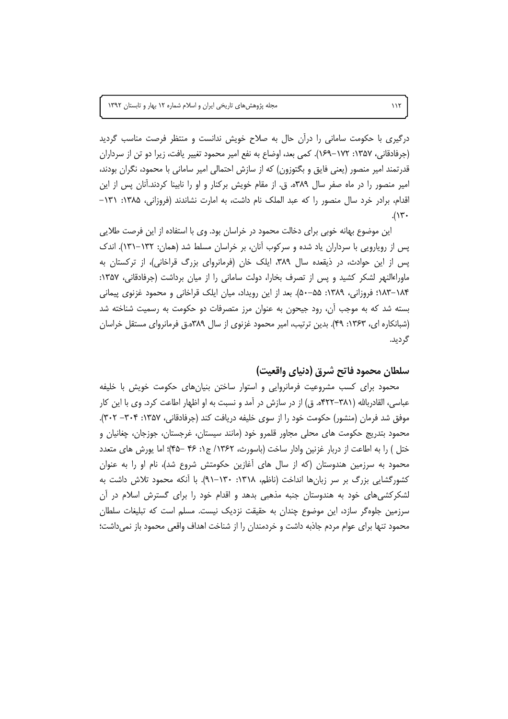درگیری با حکومت سامانی را درآن حال به صلاح خویش ندانست و منتظر فرصت مناسب گردید (جرفادقانی، ۱۳۵۷: ۱۷۲–۱۶۹). کمی بعد، اوضاع به نفع امیر محمود تغییر یافت، زیرا دو تن از سرداران قدرتمند امیر منصور (یعنی فایق و بگتوزون) که از سازش احتمالی امیر سامانی با محمود، نگران بودند، امیر منصور را در ماه صفر سال ۳۸۹ه. ق. از مقام خویش برکنار و او را نابینا کردند.آنان پس از این اقدام، برادر خرد سال منصور را که عبد الملک نام داشت، به امارت نشاندند (فروزانی، ۱۳۸۵: ۱۳۱- $.(\gamma$ 

این موضوع بهانه خوبی برای دخالت محمود در خراسان بود. وی با استفاده از این فرصت طلایی یس از رویارویی با سرداران یاد شده و سرکوب آنان، بر خراسان مسلط شد (همان: ۱۳۲–۱۳۱). اندک پس از این حوادث، در ذیقعده سال ۳۸۹، ایلک خان (فرمانروای بزرگ قراخانی)، از ترکستان به ماوراءالنهر لشکر کشید و پس از تصرف بخارا، دولت سامانی را از میان برداشت (جرفادقانی، ۱۳۵۷: ۱۸۴–۱۸۳: فروزانی، ۱۳۸۹: ۵۵–۵۰). بعد از این رویداد، میان ایلک قراخانی و محمود غزنوی پیمانی بسته شد که به موجب آن، رود جیحون به عنوان مرز متصرفات دو حکومت به رسمیت شناخته شد (شبانکاره ای، ۱۳۶۳: ۴۹). بدین ترتیب، امیر محمود غزنوی از سال ۳۸۹ه.ق فرمانروای مستقل خراسان گردید.

## سلطان محمود فاتح شرق (دنياي واقعيت)

محمود برای کسب مشروعیت فرمانروایی و استوار ساختن بنیانهای حکومت خویش با خلیفه عباسی، القادربالله (۳۸۱–۴۲۲ه. ق) از در سازش در آمد و نسبت به او اظهار اطاعت کرد. وی با این کار موفق شد فرمان (منشور) حکومت خود را از سوی خلیفه دریافت کند (جرفادقانی، ۱۳۵۷: ۳۰۴– ۳۰۲). محمود بتدریج حکومت های محلی مجاور قلمرو خود (مانند سیستان، غرجستان، جوزجان، چغانیان و ختل ) را به اطاعت از دربار غزنین وادار ساخت (باسورث، ۱۳۶۲/ ج۱: ۴۶ –۴۵)؛ اما پورش های متعدد محمود به سرزمین هندوستان (که از سال های آغازین حکومتش شروع شد)، نام او را به عنوان کشورگشایی بزرگ بر سر زبانها انداخت (ناظم، ۱۳۱۸: ۱۳۰–۹۱). با أنکه محمود تلاش داشت به لشکرکشی های خود به هندوستان جنبه مذهبی بدهد و اقدام خود را برای گسترش اسلام در ان سرزمین جلوهگر سازد، این موضوع چندان به حقیقت نزدیک نیست. مسلم است که تبلیغات سلطان محمود تنها برای عوام مردم جاذبه داشت و خردمندان را از شناخت اهداف واقعی محمود باز نمیداشت؛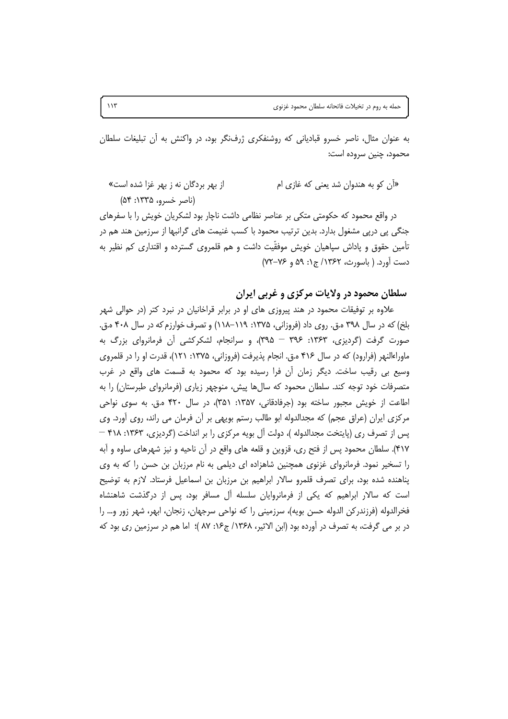به عنوان مثال، ناصر خسرو قبادیانی که روشنفکری ژرفنگر بود، در واکنش به آن تبلیغات سلطان محمود، چنین سروده است:

«اَن کو به هندوان شد یعنی که غازی ام از بهر بردگان نه ز بهر غزا شده است» (ناصر خسرو، ۱۳۳۵: ۵۴)

در واقع محمود که حکومتی متکی بر عناصر نظامی داشت ناچار بود لشکریان خویش را با سفرهای جنگی پی درپی مشغول بدارد. بدین ترتیب محمود با کسب غنیمت های گرانبها از سرزمین هند هم در تأمین حقوق و پاداش سپاهیان خویش موفقّیت داشت و هم قلمروی گسترده و اقتداری کم نظیر به دست آورد. ( باسورث، ۱۳۶۲/ ج۱: ۵۹ و ۷۶–۷۲)

## سلطان محمود در ولايات مركزي و غربي ايران

علاوه بر توفیقات محمود در هند پیروزی های او در برابر قراخانیان در نبرد کتر (در حوالی شهر بلخ) که در سال ۳۹۸ ه.ق. روی داد (فروزانی، ۱۳۷۵: ۱۱۹–۱۱۸) و تصرف خوارزم که در سال ۴۰۸ ه.ق. صورت گرفت (گردیزی، ۱۳۶۳: ۳۹۶ – ۳۹۵)، و سرانجام، لشکرکشی آن فرمانروای بزرگ به ماوراءالنهر (فرارود) که در سال ۴۱۶ ه.ق. انجام پذیرفت (فروزانی، ۱۳۷۵: ۱۲۱)، قدرت او را در قلمروی وسیع ہی رقیب ساخت. دیگر زمان اُن فرا رسیدہ بود که محمود به قسمت های واقع در غرب متصرفات خود توجه کند. سلطان محمود که سالها پیش، منوچهر زیاری (فرمانروای طبرستان) را به اطاعت از خویش مجبور ساخته بود (جرفادقانی، ۱۳۵۷: ۳۵۱)، در سال ۴۲۰ ه.ق. به سوی نواحی مرکزی ایران (عراق عجم) که مجدالدوله ابو طالب رستم بویهی بر آن فرمان می راند، روی آورد. وی پس از تصرف ری (پایتخت مجدالدوله )، دولت آل بویه مرکزی را بر انداخت (گردیزی، ۱۳۶۳: ۴۱۸ – ۴۱۷). سلطان محمود پس از فتح ري، قزوين و قلعه هاي واقع در اّن ناحيه و نيز شهرهاي ساوه و اَبه را تسخیر نمود. فرمانروای غزنوی همچنین شاهزاده ای دیلمی به نام مرزبان بن حسن را که به وی پناهنده شده بود، برای تصرف قلمرو سالار ابراهیم بن مرزبان بن اسماعیل فرستاد. لازم به توضیح است که سالار ابراهیم که یکی از فرمانروایان سلسله آل مسافر بود، پس از درگذشت شاهنشاه فخرالدوله (فرزندركن الدوله حسن بويه)، سرزميني را كه نواحي سرجهان، زنجان، ابهر، شهر زور و… را در بر می گرفت، به تصرف در آورده بود (ابن الاثیر، ۱۳۶۸/ ج۱۶: ۸۷ )؛ اما هم در سرزمین ری بود که

 $\lambda$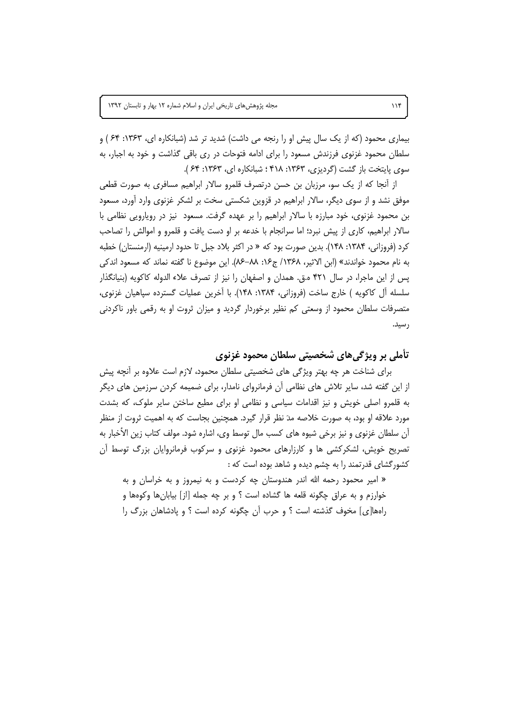بیماری محمود (که از یک سال پیش او را رنجه می داشت) شدید تر شد (شبانکاره ای، ۱۳۶۳: ۶۴ ) و سلطان محمود غزنوی فرزندش مسعود را برای ادامه فتوحات در ری باقی گذاشت و خود به اجبار، به سوى پايتخت باز گشت (گرديزي، ۱۳۶۳: ۴۱۸ ؛ شبانكاره اي، ۱۳۶۳: ۶۴ ).

از أنجا كه از يک سو، مرزبان بن حسن درتصرف قلمرو سالار ابراهيم مسافري به صورت قطعي موفق نشد و از سوی دیگر، سالار ابراهیم در قزوین شکستی سخت بر لشکر غزنوی وارد آورد، مسعود بن محمود غزنوی، خود مبارزه با سالار ابراهیم را بر عهده گرفت. مسعود نیز در رویارویی نظامی با سالار ابراهیم، کاری از پیش نبرد؛ اما سرانجام با خدعه بر او دست یافت و قلمرو و اموالش را تصاحب کرد (فروزانی، ۱۳۸۴: ۱۴۸). بدین صورت بود که « در اکثر بلاد جبل تا حدود ارمینیه (ارمنستان) خطبه به نام محمود خواندند» (ابن الاثير، ١٣۶٨/ ج١۶: ٨٨–٨۶). اين موضوع نا گفته نماند كه مسعود اندكي پس از این ماجرا، در سال ۴۲۱ ه.ق. همدان و اصفهان را نیز از تصرف علاء الدوله کاکویه (بنیانگذار سلسله آل کاکویه ) خارج ساخت (فروزانی، ۱۳۸۴: ۱۴۸). با آخرین عملیات گسترده سپاهیان غزنوی، متصرفات سلطان محمود از وسعتی کم نظیر برخوردار گردید و میزان ثروت او به رقمی باور ناکردنی ر سید.

تأملي بر ويژگىھاى شخصيتى سلطان محمود غزنوي

برای شناخت هر چه بهتر ویژگی های شخصیتی سلطان محمود، لازم است علاوه بر آنچه پیش از این گفته شد، سایر تلاش های نظامی آن فرمانروای نامدار، برای ضمیمه کردن سرزمین های دیگر به قلمرو اصلی خویش و نیز اقدامات سیاسی و نظامی او برای مطیع ساختن سایر ملوک، که بشدت مورد علاقه او بود، به صورت خلاصه مدَ نظر قرار گیرد. همچنین بجاست که به اهمیت ثروت از منظر آن سلطان غزنوي و نيز برخي شيوه هاي كسب مال توسط وي، اشاره شود. مولف كتاب زين الأخبار به تصریح خویش، لشکرکشی ها و کارزارهای محمود غزنوی و سرکوب فرمانروایان بزرگ توسط آن کشور گشای قدرتمند را به چشم دیده و شاهد بوده است که :

« امیر محمود رحمه الله اندر هندوستان چه کردست و به نیمروز و به خراسان و به خوارزم و به عراق چگونه قلعه ها گشاده است ؟ و بر چه جمله [از] بیابانِها وکوهها و راهها[ی] مخوف گذشته است ؟ و حرب آن چگونه کرده است ؟ و پادشاهان بزرگ را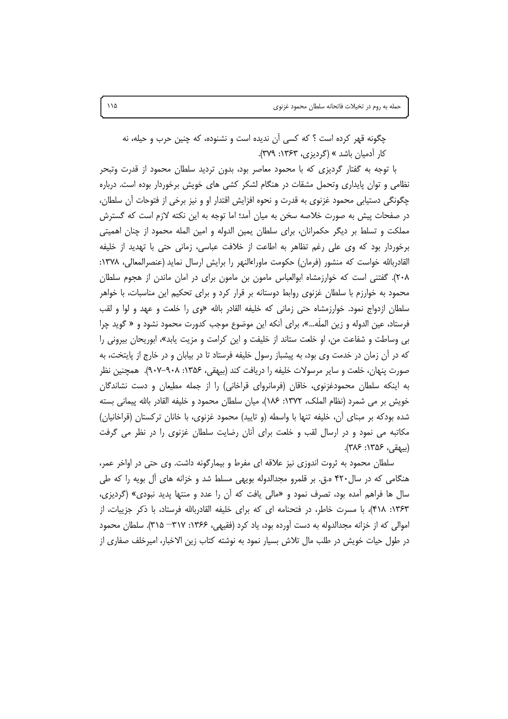چگونه قهر کرده است ؟ که کسی آن ندیده است و نشنوده، که چنین حرب و حیله، نه کار آدمیان باشد » (گردیزی، ۱۳۶۳: ۳۷۹).

با توجه به گفتار گردیزی که با محمود معاصر بود، بدون تردید سلطان محمود از قدرت وتبحر نظامی و توان پایداری وتحمل مشقات در هنگام لشکر کشی های خویش برخوردار بوده است. درباره چگونگی دستیابی محمود غزنوی به قدرت و نحوه افزایش اقتدار او و نیز برخی از فتوحات آن سلطان، در صفحات پیش به صورت خلاصه سخن به میان آمد؛ اما توجه به این نکته لازم است که گسترش مملکت و تسلط بر دیگر حکمرانان، برای سلطان یمین الدوله و امین المله محمود از چنان اهمیتی برخوردار بود که وی علی رغم تظاهر به اطاعت از خلافت عباسی، زمانی حتی با تهدید از خلیفه القادربالله خواست که منشور (فرمان) حکومت ماوراءالنهر را برایش ارسال نماید (عنصرالمعالی، ۱۳۷۸: ۲۰۸). گفتنی است که خوارزمشاه ابوالعباس مامون بن مامون برای در امان ماندن از هجوم سلطان محمود به خوارزم با سلطان غزنوی روابط دوستانه بر قرار کرد و برای تحکیم این مناسبات، با خواهر سلطان ازدواج نمود. خوارزمشاه حتى زماني كه خليفه القادر بالله «وى را خلعت و عهد و لوا و لقب فرستاد، عين الدوله و زين المله…»، براي أنكه اين موضوع موجب كدورت محمود نشود و « گويد چرا بی وساطت و شفاعت من، او خلعت ستاند از خلیفت و این کرامت و مزیت پابد»، ابوریحان بیرونی را که در آن زمان در خدمت وی بود، به پیشباز رسول خلیفه فرستاد تا در بیابان و در خارج از پایتخت، به صورت پنهان، خلعت و سایر مرسولات خلیفه را دریافت کند (بیهقی، ۱۳۵۶: ۰۸-۹۰۷). همچنین نظر به اینکه سلطان محمودغزنوی، خاقان (فرمانروای قراخانی) را از جمله مطیعان و دست نشاندگان خويش بر مي شمرد (نظام الملک، ١٣٧٢: ١٨۶)، ميان سلطان محمود و خليفه القادر بالله پيماني بسته شده بودکه بر مبنای آن، خلیفه تنها با واسطه (و تایید) محمود غزنوی، با خانان ترکستان (قراخانیان) مکاتبه می نمود و در ارسال لقب و خلعت برای آنان رضایت سلطان غزنوی را در نظر می گرفت (بيهقى، ۱۳۵۶: ۳۸۶).

سلطان محمود به ثروت اندوزی نیز علاقه ای مفرط و بیمارگونه داشت. وی حتی در اواخر عمر، هنگامی که در سال۳۲۰ ه.ق. بر قلمرو مجدالدوله بویهی مسلط شد و خزانه های ال بویه را که طی سال ها فراهم أمده بود، تصرف نمود و «مالي يافت كه أن را عدد و منتها پديد نبودي» (گرديزي، ۱۳۶۳: ۴۱۸)، با مسرت خاطر، در فتحنامه ای که برای خلیفه القادربالله فرستاد، با ذکر جزییات، از اموالي كه از خزانه مجدالدوله به دست آورده بود، ياد كرد (فقيهي، ۱۳۶۶: ۳۱۷– ۳۱۵). سلطان محمود در طول حیات خویش در طلب مال تلاش بسیار نمود به نوشته کتاب زین الاخبار، امیرخلف صفاری از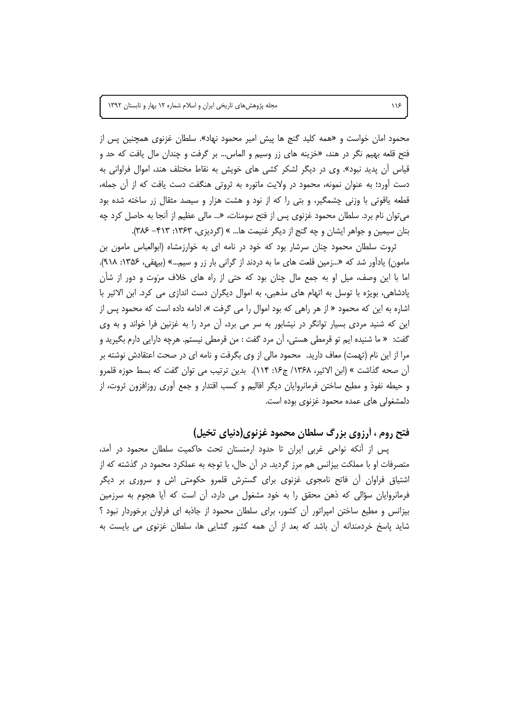محمود امان خواست و «همه کلید گنج ها پیش امیر محمود نهاد». سلطان غزنوی همچنین پس از فتح قلعه بهیم نگر در هند، «خزینه های زر وسیم و الماس… بر گرفت و چندان مال یافت که حد و قیاس آن پدید نبود». وی در دیگر لشکر کشی های خویش به نقاط مختلف هند، اموال فراوانی به دست اًورد؛ به عنوان نمونه، محمود در ولایت ماتوره به ثروتی هنگفت دست یافت که از آن جمله، قطعه یاقوتی با وزنی چشمگیر، و بتی را که از نود و هشت هزار و سیصد مثقال زر ساخته شده بود می توان نام برد. سلطان محمود غزنوی پس از فتح سومنات، «… مالی عظیم از آنجا به حاصل کرد چه بتان سیمین و جواهر ایشان و چه گنج از دیگر غنیمت ها… » (گردیزی، ۱۳۶۳: ۴۱۳– ۳۸۶).

ثروت سلطان محمود چنان سرشار بود که خود در نامه ای به خوارزمشاه (ابوالعباس مامون بن مامون) یادآور شد که «...زمین قلعت های ما به دردند از گرانی بار زر و سیم...» (بیهقی، ۱۳۵۶: ۱۸۹). اما با این وصف، میل او به جمع مال چنان بود که حتی از راه های خلاف مرَوت و دور از شأن پادشاهی، بویژه با توسل به اتهام های مذهبی، به اموال دیگران دست اندازی می کرد. ابن الاثیر با اشاره به این که محمود « از هر راهی که بود اموال را می گرفت »، ادامه داده است که محمود پس از این که شنید مردی بسیار توانگر در نیشابور به سر می برد، آن مرد را به غزنین فرا خواند و به وی گفت: « ما شنيده ايم تو قرمطي هستي، آن مرد گفت : من قرمطي نيستم. هرچه دارايي دارم بگيريد و مرا از این نام (تهمت) معاف دارید. محمود مالی از وی بگرفت و نامه ای در صحت اعتقادش نوشته بر ان صحه گذاشت » (ابن الاثیر، ۱۳۶۸/ ج۱۶: ۱۱۴). بدین ترتیب می توان گفت که بسط حوزه قلمرو و حیطه نفوذ و مطیع ساختن فرمانروایان دیگر اقالیم و کسب اقتدار و جمع اَوری روزافزون ثروت، از دلمشغولی های عمده محمود غزنوی بوده است.

### فتح روم ، أرزوي بزرگ سلطان محمود غزنوي(دنياي تخيل)

پس از آنکه نواحی غربی ایران تا حدود ارمنستان تحت حاکمیت سلطان محمود در آمد، متصرفات او با مملکت بیزانس هم مرز گردید. در آن حال، با توجه به عملکرد محمود در گذشته که از اشتیاق فراوان آن فاتح نامجوی غزنوی برای گسترش قلمرو حکومتی اش و سروری بر دیگر فرمانروایان سؤالی که ذهن محقق را به خود مشغول می دارد، آن است که آیا هجوم به سرزمین بیزانس و مطیع ساختن امپراتور آن کشور، برای سلطان محمود از جاذبه ای فراوان برخوردار نبود ؟ شاید پاسخ خردمندانه آن باشد که بعد از آن همه کشور گشایی ها، سلطان غزنوی می بایست به

 $\mathcal{W}$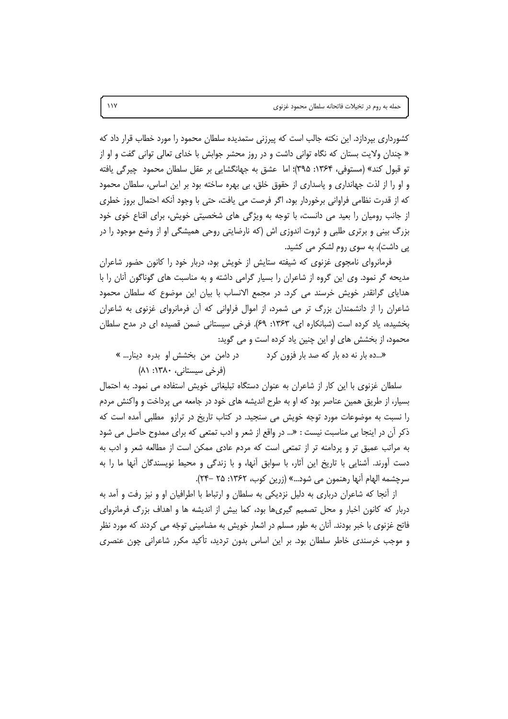کشورداری بیردازد. این نکته جالب است که پیرزنی ستمدیده سلطان محمود را مورد خطاب قرار داد که « چندان ولایت بستان که نگاه توانی داشت و در روز محشر جوابش با خدای تعالی توانی گفت و او از تو قبول كند» (مستوفى، ١٣۶۴: ٣٩۵)؛ اما عشق به جهانگشايي بر عقل سلطان محمود چيرگي يافته و او را از لذت جهانداری و پاسداری از حقوق خلق، بی بهره ساخته بود بر این اساس، سلطان محمود که از قدرت نظامی فراوانی برخوردار بود، اگر فرصت می یافت، حتی با وجود آنکه احتمال بروز خطری از جانب رومیان را بعید می دانست، با توجه به ویژگی های شخصیتی خویش، برای اقناع خوی خود بزرگ بینی و برتری طلبی و ثروت اندوزی اش (که نارضایتی روحی همیشگی او از وضع موجود را در یی داشت)، به سوی روم لشکر می کشید.

فرمانروای نامجوی غزنوی که شیفته ستایش از خویش بود، دربار خود را کانون حضور شاعران مدیحه گر نمود. وی این گروه از شاعران را بسیار گرامی داشته و به مناسبت های گوناگون آنان را با هدایای گرانقدر خویش خرسند می کرد. در مجمع الانساب با بیان این موضوع که سلطان محمود شاعران را از دانشمندان بزرگ تر می شمرد، از اموال فراوانی که آن فرمانروای غزنوی به شاعران بخشیده، یاد کرده است (شبانکاره ای، ۱۳۶۳: ۶۹). فرخی سیستانی ضمن قصیده ای در مدح سلطان محمود، از بخشش های او این چنین یاد کرده است و می گوید:

«...ده بار نه ده بار که صد بار فزون کرد در دامن من بخشش او بدره دينار... » (فرخی سیستانی، ۱۳۸۰: ۸۱)

سلطان غزنوی با این کار از شاعران به عنوان دستگاه تبلیغاتی خویش استفاده می نمود. به احتمال بسیار، از طریق همین عناصر بود که او به طرح اندیشه های خود در جامعه می پرداخت و واکنش مردم را نسبت به موضوعات مورد توجه خویش می سنجید. در کتاب تاریخ در ترازو (مطلبی آمده است که ذکر اُن در اینجا بی مناسبت نیست : «… در واقع از شعر و ادب تمتعی که برای ممدوح حاصل می شود به مراتب عمیق تر و پردامنه تر از تمتعی است که مردم عادی ممکن است از مطالعه شعر و ادب به دست اَورند. اَشنایی با تاریخ این اَثار، با سوابق اَنها، و با زندگی و محیط نویسندگان اَنها ما را به سرچشمه الهام آنها رهنمون مي شود...» (زرين كوب، ١٣۶٢: ٢۵ –٢۴).

از آنجا که شاعران درباری به دلیل نزدیکی به سلطان و ارتباط با اطرافیان او و نیز رفت و آمد به دربار که کانون اخبار و محل تصمیم گیریها بود، کما بیش از اندیشه ها و اهداف بزرگ فرمانروای فاتح غزنوی با خبر بودند. آنان به طور مسلم در اشعار خویش به مضامینی توجّه می کردند که مورد نظر و موجب خرسندی خاطر سلطان بود. بر این اساس بدون تردید، تأکید مکرر شاعرانی چون عنصری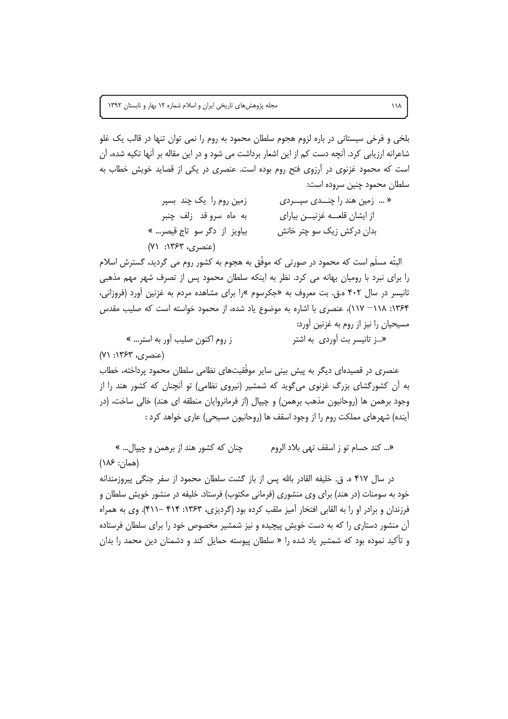بلخی و فرخی سیستانی در باره لزوم هجوم سلطان محمود به روم را نمی توان تنها در قالب یک غلو شاعرانه ارزیابی کرد. آنچه دست کم از این اشعار برداشت می شود و در این مقاله بر آنها تکیه شده، آن است که محمود غزنوی در آرزوی فتح روم بوده است. عنصری در یکی از قصاید خویش خطاب به سلطان محمود چنین سروده است:

| زمین روم را یک چند بسپر                                      | «  زمین هند را چنـــدی سپـــردی |
|--------------------------------------------------------------|---------------------------------|
| به ماه سروقد زلف چنبر                                        | از ایشان قلعــه غزنیـــن بیارای |
| بياويز از دگر سو تاج قيصر »                                  | بدان درکش زیک سو چتر خانش       |
| $(Y \setminus \cdot \mid Y^{\varphi}Y, \ldots, Y^{\varphi})$ |                                 |

البتَّه مسلِّم است که محمود در صورتی که موفَّق به هجوم به کشور روم می گردید، گسترش اسلام را برای نبرد با رومیان بهانه می کرد. نظر به اینکه سلطان محمود پس از تصرف شهر مهم مذهبی تانیسر در سال ۴۰۲ ه.ق. بت معروف به «جکرسوم »را برای مشاهده مردم به غزنین آورد (فروزانی، ۱۳۶۴: ۱۱۸–۱۱۷)، عنصری با اشاره به موضوع یاد شده، از محمود خواسته است که صلیب مقدس مسیحیان را نیز از روم به غزنین آورد: «...ز تانیسر بت آوردی به اشتر

ز روم اکنون صلیب آور به استر… »

(عنصري، ١٣۶٣: ٧١)

عنصری در قصیدهای دیگر به پیش بینی سایر موفّقیتهای نظامی سلطان محمود پرداخته، خطاب به آن کشورگشای بزرگ غزنوی میگوید که شمشیر (نیروی نظامی) تو آنچنان که کشور هند را از وجود برهمن ها (روحانیون مذهب برهمن) و چیپال (از فرمانروایان منطقه ای هند) خالی ساخت، (در آینده) شهرهای مملکت روم را از وجود اسقف ها (روحانیون مسیحی) عاری خواهد کرد :

«... كند حسام تو ز اسقف تهى بلاد الروم چنان که کشور هند از برهمن و چیپال… »  $(\lambda \xi)$ : ۱۸۶) در سال ۴۱۷ ه. ق. خليفه القادر بالله پس از باز گشت سلطان محمود از سفر جنگی پيروزمندانه خود به سومنات (در هند) برای وی منشوری (فرمانی مکتوب) فرستاد. خلیفه در منشور خویش سلطان و

فرزندان و برادر او را به القابی افتخار آمیز ملقب کرده بود (گردیزی، ۱۳۶۳: ۴۱۴ –۴۱۱). وی به همراه آن منشور دستاری را که به دست خویش پیچیده و نیز شمشیر مخصوص خود را برای سلطان فرستاده و تأكيد نموده بود كه شمشير ياد شده را « سلطان پيوسته حمايل كند و دشمنان دين محمد را بدان

 $\lambda/\lambda$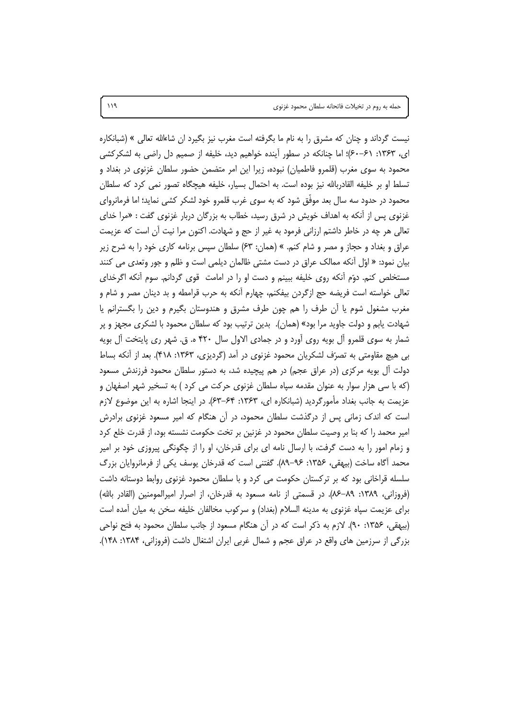نیست گرداند و چنان که مشرق را به نام ما بگرفته است مغرب نیز بگیرد ان شاءالله تعالی » (شبانکاره ای، ۱۳۶۳: ۶۱–۶۰)؛ اما چنانکه در سطور آینده خواهیم دید، خلیفه از صمیم دل راضی به لشکرکشی محمود به سوی مغرب (قلمرو فاطمیان) نبوده، زیرا این امر متضمن حضور سلطان غزنوی در بغداد و تسلط او بر خلیفه القادربالله نیز بوده است. به احتمال بسیار، خلیفه هیچگاه تصور نمی کرد که سلطان محمود در حدود سه سال بعد موفَّق شود که به سوی غرب قلمرو خود لشکر کشی نماید؛ اما فرمانروای غزنوی پس از آنکه به اهداف خویش در شرق رسید، خطاب به بزرگان دربار غزنوی گفت : «مرا خدای تعالى هر چه در خاطر داشتم ارزاني فرمود به غير از حج و شهادت. اكنون مرا نيت آن است كه عزيمت عراق و بغداد و حجاز و مصر و شام کنم. » (همان: ۶۳) سلطان سپس برنامه کاری خود را به شرح زیر بیان نمود: « اوّل أنكه ممالک عراق در دست مشتی ظالمان دیلمی است و ظلم و جور وتعدی می كنند مستخلص کنم. دوّم أنکه روی خلیفه ببینم و دست او را در امامت قوی گردانم. سوم أنکه اگرخدای تعالی خواسته است فریضه حج ازگردن بیفکنم، چهارم أنکه به حرب قرامطه و بد دینان مصر و شام و مغرب مشغول شوم یا آن طرف را هم چون طرف مشرق و هندوستان بگیرم و دین را بگسترانم یا شهادت یابم و دولت جاوید مرا بود» (همان). بدین ترتیب بود که سلطان محمود با لشکری مجهز و پر شمار به سوی قلمرو آل بویه روی آورد و در جمادی الاول سال ۴۲۰ ه. ق. شهر ری پایتخت آل بویه بی هیچ مقاومتی به تصرّف لشکریان محمود غزنوی در آمد (گردیزی، ۱۳۶۳: ۴۱۸). بعد از آنکه بساط دولت آل بویه مرکزی (در عراق عجم) در هم پیچیده شد، به دستور سلطان محمود فرزندش مسعود (که با سی هزار سوار به عنوان مقدمه سپاه سلطان غزنوی حرکت می کرد ) به تسخیر شهر اصفهان و عزیمت به جانب بغداد مأمورگردید (شبانکاره ای، ۱۳۶۳: ۶۴–۶۳). در اینجا اشاره به این موضوع لازم است که اندک زمانی پس از درگذشت سلطان محمود، در آن هنگام که امیر مسعود غزنوی برادرش امیر محمد را که بنا بر وصیت سلطان محمود در غزنین بر تخت حکومت نشسته بود، از قدرت خلع کرد و زمام امور را به دست گرفت، با ارسال نامه ای برای قدرخان، او را از چگونگی پیروزی خود بر امیر محمد أكّاه ساخت (بيهقى، ۱۳۵۶: ۹۶–۸۹). گفتنى است كه قدرخان يوسف يكي از فرمانروايان بزرگ سلسله قراخانی بود که بر ترکستان حکومت می کرد و با سلطان محمود غزنوی روابط دوستانه داشت (فروزانی، ۱۳۸۹: ۸۹–۸۶). در قسمتی از نامه مسعود به قدرخان، از اصرار امیرالمومنین (القادر بالله) برای عزیمت سیاه غزنوی به مدینه السلام (بغداد) و سرکوب مخالفان خلیفه سخن به میان آمده است (بیهقی، ۱۳۵۶: ۹۰). لازم به ذکر است که در آن هنگام مسعود از جانب سلطان محمود به فتح نواحی بزرگی از سرزمین های واقع در عراق عجم و شمال غربی ایران اشتغال داشت (فروزانی، ۱۳۸۴: ۱۴۸).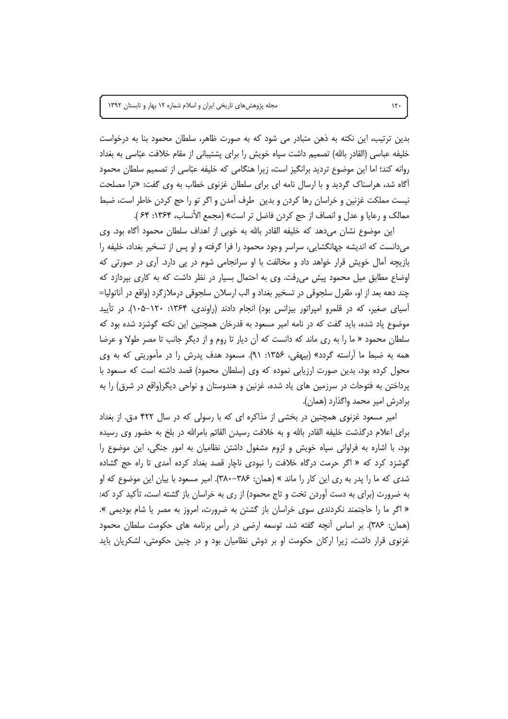بدین ترتیب، این نکته به ذهن متبادر می شود که به صورت ظاهر، سلطان محمود بنا به درخواست خلیفه عباسی (القادر بالله) تصمیم داشت سیاه خویش را برای پشتیبانی از مقام خلافت عبّاسی به بغداد روانه کند؛ اما این موضوع تردید برانگیز است، زیرا هنگامی که خلیفه عبّاسی از تصمیم سلطان محمود اًگاه شد، هراسناک گردید و با ارسال نامه ای برای سلطان غزنوی خطاب به وی گفت: «ترا مصلحت نیست مملکت غزنین و خراسان رها کردن و بدین طرف آمدن و اگر تو را حج کردن خاطر است، ضبط ممالک و رعایا و عدل و انصاف از حج کردن فاضل تر است» (مجمع الأنساب، ۱۳۶۴: ۶۴ ).

این موضوع نشان میدهد که خلیفه القادر بالله به خوبی از اهداف سلطان محمود آگاه بود. وی می دانست که اندیشه جهانگشایی، سراسر وجود محمود را فرا گرفته و او پس از تسخیر بغداد، خلیفه را بازیچه آمال خویش قرار خواهد داد و مخالفت با او سرانجامی شوم در پی دارد. آری در صورتی که اوضاع مطابق میل محمود پیش می رفت. وی به احتمال بسیار در نظر داشت که به کاری بپردازد که چند دهه بعد از او، طغرل سلجوقی در تسخیر بغداد و الب ارسلان سلجوقی درملازگرد (واقع در أناتوليا= آسیای صغیر، که در قلمرو امپراتور بیزانس بود) انجام دادند (راوندی، ۱۳۶۴: ۱۰۵–۱۰۵). در تأیید موضوع یاد شده، باید گفت که در نامه امیر مسعود به قدرخان همچنین این نکته گوشزد شده بود که سلطان محمود « ما را به ري ماند كه دانست كه آن ديار تا روم و از ديگر جانب تا مصر طولا و عرضا همه به ضبط ما آراسته گردد» (بیهقی، ۱۳۵۶: ۹۱). مسعود هدف پدرش را در مأموریتی که به وی محول کرده بود، بدین صورت ارزیابی نموده که وی (سلطان محمود) قصد داشته است که مسعود با پرداختن به فتوحات در سرزمین های یاد شده، غزنین و هندوستان و نواحی دیگر(واقع در شرق) را به برادرش امير محمد واگذارد (همان).

امیر مسعود غزنوی همچنین در بخشی از مذاکره ای که با رسولی که در سال ۴۲۲ ه.ق. از بغداد برای اعلام درگذشت خلیفه القادر بالله و به خلافت رسیدن القائم بامرالله در بلخ به حضور وی رسیده بود، با اشاره به فراوانی سپاه خویش و لزوم مشغول داشتن نظامیان به امور جنگی، این موضوع را گوشزد کرد که « اگر حرمت درگاه خلافت را نبودی ناچار قصد بغداد کرده آمدی تا راه حج گشاده شدی که ما را پدر به ری این کار را ماند » (همان: ۳۸۶–۳۸۰). امیر مسعود با بیان این موضوع که او به ضرورت (برای به دست آوردن تخت و تاج محمود) از ری به خراسان باز گشته است، تأکید کرد که: « اگر ما را حاجتمند نکردندی سوی خراسان باز گشتن به ضرورت، امروز به مصر یا شام بودیمی ». (همان: ۳۸۶). بر اساس أنچه گفته شد، توسعه ارضی در رأس برنامه های حکومت سلطان محمود غزنوی قرار داشت، زیرا ارکان حکومت او بر دوش نظامیان بود و در چنین حکومتی، لشکریان باید

 $\mathcal{N}$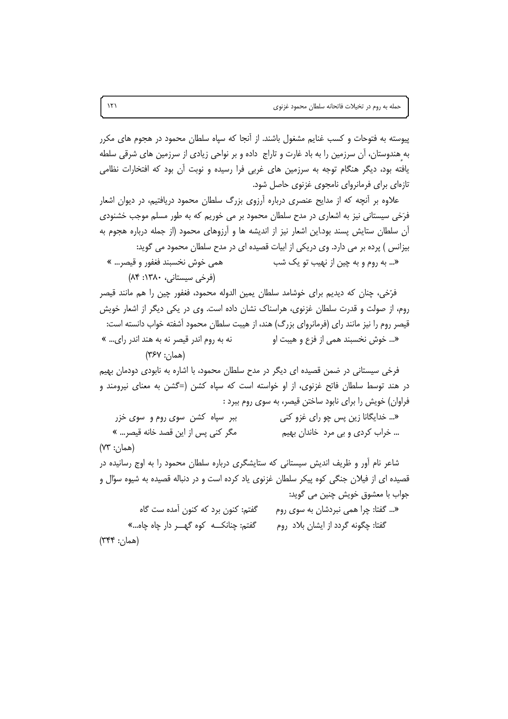پیوسته به فتوحات و کسب غنایم مشغول باشند. از آنجا که سپاه سلطان محمود در هجوم های مکرر به هندوستان، آن سرزمین را به باد غارت و تاراج داده و بر نواحی زیادی از سرزمین های شرقی سلطه یافته بود، دیگر هنگام توجه به سرزمین های غربی فرا رسیده و نوبت أن بود که افتخارات نظامی تازهای برای فرمانروای نامجوی غزنوی حاصل شود.

علاوه بر آنچه که از مدایح عنصری درباره آرزوی بزرگ سلطان محمود دریافتیم، در دیوان اشعار فرَخی سیستانی نیز به اشعاری در مدح سلطان محمود بر می خوریم که به طور مسلم موجب خشنودی آن سلطان ستایش پسند بود.این اشعار نیز از اندیشه ها و آرزوهای محمود (از جمله درباره هجوم به بیزانس ) پرده بر می دارد. وی دریکی از ابیات قصیده ای در مدح سلطان محمود می گوید:

همي خوش نخسبند فغفور و قيصر... » «… به روم و به چین از نهیب تو یک شب (فرخی سیستانی، ۱۳۸۰: ۸۴)

فرّخي، چنان كه ديديم براي خوشامد سلطان يمين الدوله محمود، فغفور چين را هم مانند قيصر روم، از صولت و قدرت سلطان غزنوی، هراسناک نشان داده است. وی در یکی دیگر از اشعار خویش قیصر روم را نیز مانند رای (فرمانروای بزرگ) هند، از هیبت سلطان محمود آشفته خواب دانسته است: نه به روم اندر قیصر نه به هند اندر رای… » «... خوش نخسبند همي از فزع و هيبت او  $(YSY:')^{(n)}$ 

فرخی سیستانی در ضمن قصیده ای دیگر در مدح سلطان محمود، با اشاره به نابودی دودمان بهیم در هند توسط سلطان فاتح غزنوی، از او خواسته است که سپاه کشن (=گشن به معنای نیرومند و فراوان) خویش را برای نابود ساختن قیصر، به سوی روم ببرد :

ببر سپاه کشن سوی روم و سوی خزر «... خدایگانا زین پس چو رای غزو کنی مگر كنى يس از اين قصد خانه قيصر... » ... خراب کردی و بی مرد خاندان بهیم (همان: ۷۳)

شاعر نام اَور و ظریف اندیش سیستانی که ستایشگری درباره سلطان محمود را به اوج رسانیده در قصیده ای از فیلان جنگی کوه پیکر سلطان غزنوی یاد کرده است و در دنباله قصیده به شیوه سؤال و جواب با معشوق خويش چنين مي گويد:

گفتم: کنون برد که کنون آمده ست گاه «... گفتا: چرا همی نبردشان به سوی روم گفتم: چنانک کوه گھبر دار چاه چاه...» گفتا: چگونه گردد از ایشان بلاد روم (همان: ۳۴۴)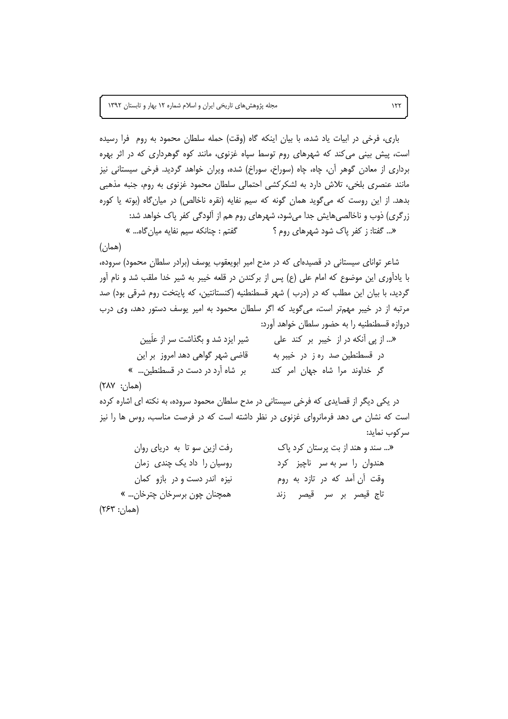باری، فرخی در ابیات یاد شده، با بیان اینکه گاه (وقت) حمله سلطان محمود به روم فرا رسیده است، پیش بینی می کند که شهرهای روم توسط سپاه غزنوی، مانند کوه گوهرداری که در اثر بهره برداری از معادن گوهر آن، چاه، چاه (سوراخ، سوراخ) شده، ویران خواهد گردید. فرخی سیستانی نیز مانند عنصری بلخی، تلاش دارد به لشکرکشی احتمالی سلطان محمود غزنوی به روم، جنبه مذهبی بدهد. از این روست که می گوید همان گونه که سیم نفایه (نقره ناخالص) در میان گاه (بوته یا کوره زرگری) ذوب و ناخالصیهایش جدا میشود، شهرهای روم هم از آلودگی کفر پاک خواهد شد: گفتم : چنانکه سیم نفایه میان *گ*اه... » «... گفتا: ز کفر پاک شود شهرهای روم ؟ (همان)

شاعر توانای سیستانی در قصیدهای که در مدح امیر ابویعقوب یوسف (برادر سلطان محمود) سروده، با یادآوری این موضوع که امام علی (ع) پس از برکندن در قلعه خیبر به شیر خدا ملقب شد و نام آور گردید، با بیان این مطلب که در (درب ) شهر قسطنطنیه (کنستانتین، که پایتخت روم شرقی بود) صد مرتبه از در خیبر مهمتر است، میگوید که اگر سلطان محمود به امیر پوسف دستور دهد، وی درب دروازه قسطنطنيه را به حضور سلطان خواهد آورد:

| شیر ایزد شد و بگذاشت سر از علَیین | « از پی آنکه در از خیبر بر کند علی |
|-----------------------------------|------------------------------------|
| قاضی شهر گواهی دهد امروز بر این   | در قسطنطین صد ره ز در خیبر به      |
| بر شاه آرد در دست در قسطنطین »    | گر خداوند مرا شاه جهان امر کند     |

(همان: ۲۸۷)

در یکی دیگر از قصایدی که فرخی سیستانی در مدح سلطان محمود سروده، به نکته ای اشاره کرده است که نشان می دهد فرمانروای غزنوی در نظر داشته است که در فرصت مناسب، روس ها را نیز سركوب نمايد:

| رفت ازین سو تا به دریای روان | « سند و هند از بت پرستان کرد پاک |
|------------------------------|----------------------------------|
| روسیان را داد یک چندی زمان   | هندوان را سربه سر ناچیز کرد      |
| نیزه اندر دست و در بازو کمان | وقت آن آمد که در تازد به روم     |
| همچنان چون برسرخان چترخان… » | تاج قیصر بر سر قیصر زند          |
| (همان: ۲۶۳)                  |                                  |

 $157$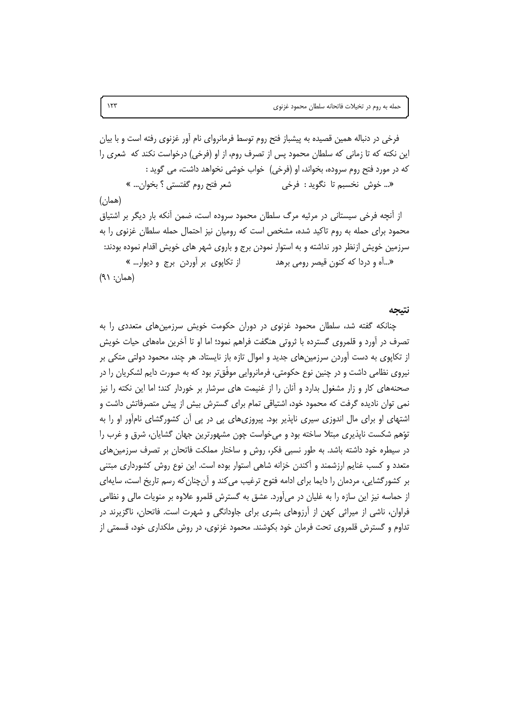فرخی در دنباله همین قصیده به پیشباز فتح روم توسط فرمانروای نام آور غزنوی رفته است و با بیان این نکته که تا زمانی که سلطان محمود پس از تصرف روم، از او (فرخی) درخواست نکند که شعری را که در مورد فتح روم سروده، بخواند، او (فرخی) خواب خوشی نخواهد داشت، می گوید : شعر فتح روم گفتستی ؟ بخوان… » «... خوش نخسبم تا نگويد : فرخي  $(\omega)$ (همان) از آنچه فرخی سیستانی در مرثیه مرگ سلطان محمود سروده است، ضمن آنکه بار دیگر بر اشتیاق محمود برای حمله به روم تاکید شده، مشخص است که رومیان نیز احتمال حمله سلطان غزنوی را به سرزمین خویش ازنظر دور نداشته و به استوار نمودن برج و باروی شهر های خویش اقدام نموده بودند: از تکاپوی بر آوردن برج و دیوار… » «…اًه و دردا که کنون قیصر رومی برهد  $(A \cap \cdot \cdot \cdot)$ 

نتيجه

چنانکه گفته شد، سلطان محمود غزنوی در دوران حکومت خویش سرزمینهای متعددی را به تصرف در آورد و قلمروی گسترده با ثروتی هنگفت فراهم نمود؛ اما او تا آخرین ماههای حیات خویش از تکاپوی به دست آوردن سرزمینهای جدید و اموال تازه باز نایستاد. هر چند، محمود دولتی متکی بر نیروی نظامی داشت و در چنین نوع حکومتی، فرمانروایی موفّق،تر بود که به صورت دایم لشکریان را در صحنههای کار و زار مشغول بدارد و آنان را از غنیمت های سرشار بر خوردار کند؛ اما این نکته را نیز نمی توان نادیده گرفت که محمود خود، اشتیاقی تمام برای گسترش بیش از پیش متصرفاتش داشت و اشتهای او برای مال اندوزی سیری ناپذیر بود. پیروزیهای پی در پی آن کشورگشای نامآور او را به توّهم شکست ناپذیری مبتلا ساخته بود و می خواست چون مشهورترین جهان گشایان، شرق و غرب را در سیطره خود داشته باشد. به طور نسبی فکر، روش و ساختار مملکت فاتحان بر تصرف سرزمین های متعدد و کسب غنایم ارزشمند و آکندن خزانه شاهی استوار بوده است. این نوع روش کشورداری مبتنی بر کشورگشایی، مردمان را دایما برای ادامه فتوح ترغیب می کند و آن چنان که رسم تاریخ است، سایهای از حماسه نیز این سازه را به غلیان در می آورد. عشق به گسترش قلمرو علاوه بر منویات مالی و نظامی فراوان، ناشی از میراثی کهن از اَرزوهای بشری برای جاودانگی و شهرت است. فاتحان، ناگزیرند در تداوم و گسترش قلمروی تحت فرمان خود بکوشند. محمود غزنوی، در روش ملکداری خود، قسمتی از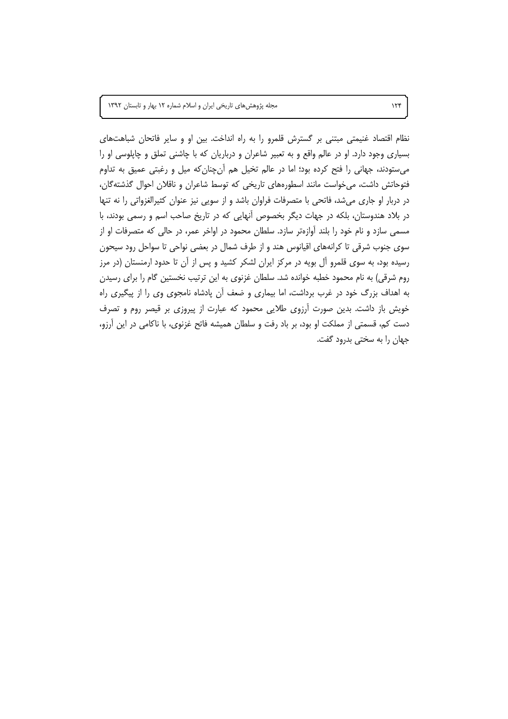مجله پژوهشهای تاریخی ایران و اسلام شماره ١٢ بهار و تابستان ١٣٩٢

نظام اقتصاد غنیمتی مبتنی بر گسترش قلمرو را به راه انداخت. بین او و سایر فاتحان شباهتهای بسیاری وجود دارد. او در عالم واقع و به تعبیر شاعران و درباریان که با چاشنی تملق و چاپلوسی او را می ستودند، جهانی را فتح کرده بود؛ اما در عالم تخیل هم أنچنان که میل و رغبتی عمیق به تداوم فتوحاتش داشت، می خواست مانند اسطورههای تاریخی که توسط شاعران و ناقلان احوال گذشته گان، در دربار او جاری میشد، فاتحی با متصرفات فراوان باشد و از سویی نیز عنوان کثیرالغزواتی را نه تنها در بلاد هندوستان، بلکه در جهات دیگر بخصوص آنهایی که در تاریخ صاحب اسم و رسمی بودند، با مسمی سازد و نام خود را بلند آوازهتر سازد. سلطان محمود در اواخر عمر، در حالی که متصرفات او از سوی جنوب شرقی تا کرانههای اقیانوس هند و از طرف شمال در بعضی نواحی تا سواحل رود سیحون رسیده بود، به سوی قلمرو آل بویه در مرکز ایران لشکر کشید و پس از آن تا حدود ارمنستان (در مرز روم شرقی) به نام محمود خطبه خوانده شد. سلطان غزنوی به این ترتیب نخستین گام را برای رسیدن به اهداف بزرگ خود در غرب برداشت، اما بیماری و ضعف آن پادشاه نامجوی وی را از پیگیری راه خویش باز داشت. بدین صورت آرزوی طلایی محمود که عبارت از پیروزی بر قیصر روم و تصرف دست کم، قسمتی از مملکت او بود، بر باد رفت و سلطان همیشه فاتح غزنوی، با ناکامی در این آرزو، جهان را به سختی بدرود گفت.

 $156$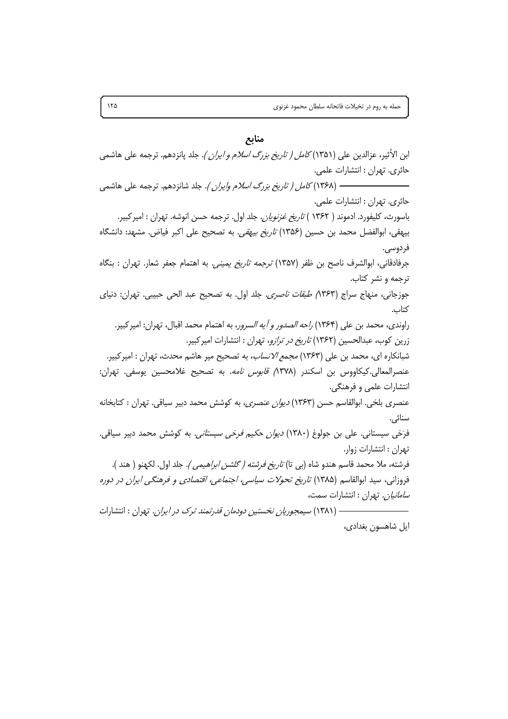#### منابع

ابن الأثير، عزالدين على (١٣٥١) *كامل ( تاريخ بزرگ اسلام و ايران )*. جلد پانزدهم. ترجمه على هاشمي حائري. تهران : انتشارات علمي. جائري. تيهران : انتشارات علمي. باسورث، كليفورد. ادموند ( ۱۳۶۲ ) *تاريخ غزنويان*. جلد اول. ترجمه حسن انوشه. تهران : امير كبير. بيهقي، ابوالفضل محمد بن حسين (١٣۵۶) *تاريخ بيهقي*. به تصحيح على اكبر فياض. مشهد: دانشگاه فردوسي. جرفادقانی، ابوالشرف ناصح بن ظفر (۱۳۵۷) *ترجمه تاریخ یمینی.* به اهتمام جعفر شعار. تهران : بنگاه ترجمه و نشر کتاب. جوزجاني، منهاج سراج (۸۳۶۳*) طبقات ناصري.* جلد اول. به تصحيح عبد الحي حبيبي. تهران: دنياي كتاب. راوندي، محمد بن علي (١٣۶۴) ر*احه الصدور و آيه السرور*، به اهتمام محمد اقبال، تهران: امير كبير. زرین کوب، عبدالحسین (۱۳۶۲) *تاریخ در ترازو*، تهران : انتشارات امیرکبیر. شبانکاره ای، محمد بن علی (۱۳۶۳) *مجمع الانساب*، به تصحیح میر هاشم محدث، تهران : امیرکبیر. عنصرالمعالي.كيكاووس بن اسكندر (٨٣٧٨ ق*ابوس نامه.* به تصحيح غلامحسين يوسفي. تهران: انتشارات علمی و فرهنگی. عنصری بلخی. ابوالقاسم حسن (۱۳۶۳) *دیوان عنصری*، به کوشش محمد دبیر سیاقی. تهران : کتابخانه سنائى. فرَخی سیستانی. علی بن جولوغ (۱۳۸۰) *دیوان حکیم فرخی سیستانی.* به کوشش محمد دبیر سیاقی. تهران : انتشارات زوار. فرشته، ملا محمد قاسم هندو شاه (بي تا) *تاريخ فرشته ( گلشن ابراهيمي ).* جلد اول. لكهنو ( هند ). فروزانی، سید ابوالقاسم (۱۳۸۵) *تاریخ تحولات سیاسی، اجتماعی، اقتصادی و فرهنگی ایران در دوره سامانیان.* تهران : انتشارات سمت، —— (۱۳۸۱) *سیمجوریان نخستین دودمان قدرتمند ترک در ایران.* تهران : انتشارات

ايل شاهسون بغدادي،